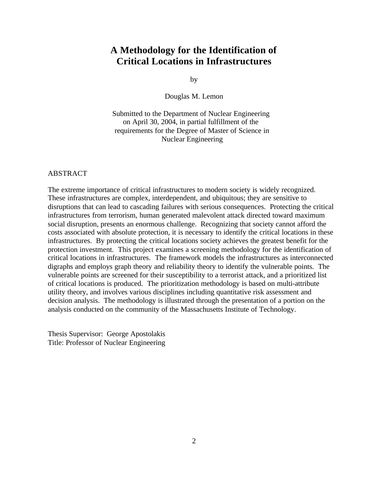## **A Methodology for the Identification of Critical Locations in Infrastructures**

by

Douglas M. Lemon

Submitted to the Department of Nuclear Engineering on April 30, 2004, in partial fulfillment of the requirements for the Degree of Master of Science in Nuclear Engineering

## ABSTRACT

The extreme importance of critical infrastructures to modern society is widely recognized. These infrastructures are complex, interdependent, and ubiquitous; they are sensitive to disruptions that can lead to cascading failures with serious consequences. Protecting the critical infrastructures from terrorism, human generated malevolent attack directed toward maximum social disruption, presents an enormous challenge. Recognizing that society cannot afford the costs associated with absolute protection, it is necessary to identify the critical locations in these infrastructures. By protecting the critical locations society achieves the greatest benefit for the protection investment. This project examines a screening methodology for the identification of critical locations in infrastructures. The framework models the infrastructures as interconnected digraphs and employs graph theory and reliability theory to identify the vulnerable points. The vulnerable points are screened for their susceptibility to a terrorist attack, and a prioritized list of critical locations is produced. The prioritization methodology is based on multi-attribute utility theory, and involves various disciplines including quantitative risk assessment and decision analysis. The methodology is illustrated through the presentation of a portion on the analysis conducted on the community of the Massachusetts Institute of Technology.

Thesis Supervisor: George Apostolakis Title: Professor of Nuclear Engineering